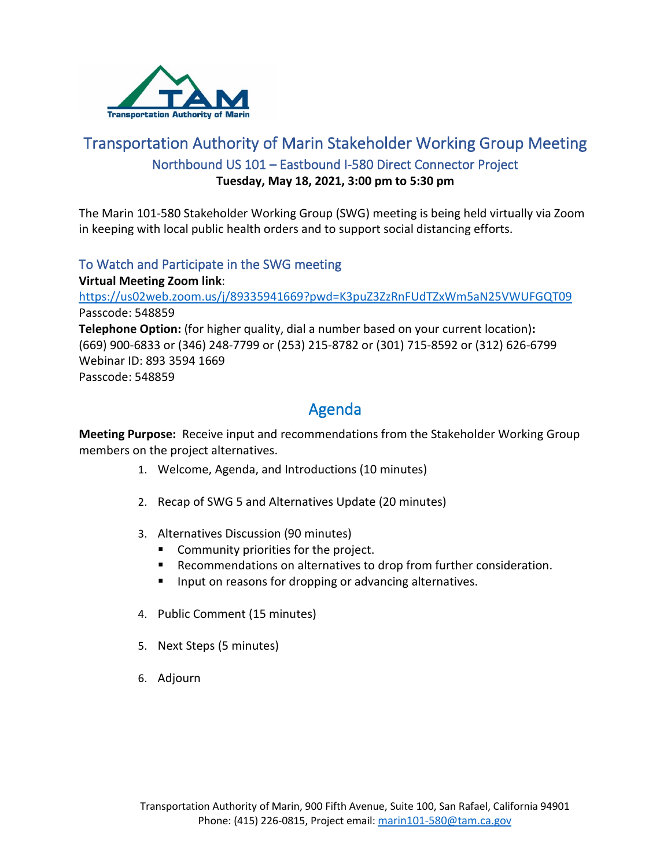

## Transportation Authority of Marin Stakeholder Working Group Meeting Northbound US 101 – Eastbound I-580 Direct Connector Project **Tuesday, May 18, 2021, 3:00 pm to 5:30 pm**

The Marin 101-580 Stakeholder Working Group (SWG) meeting is being held virtually via Zoom in keeping with local public health orders and to support social distancing efforts.

### To Watch and Participate in the SWG meeting

**Virtual Meeting Zoom link**: <https://us02web.zoom.us/j/89335941669?pwd=K3puZ3ZzRnFUdTZxWm5aN25VWUFGQT09> Passcode: 548859 **Telephone Option:** (for higher quality, dial a number based on your current location)**:** (669) 900-6833 or (346) 248-7799 or (253) 215-8782 or (301) 715-8592 or (312) 626-6799 Webinar ID: 893 3594 1669 Passcode: 548859

# Agenda

**Meeting Purpose:** Receive input and recommendations from the Stakeholder Working Group members on the project alternatives.

- 1. Welcome, Agenda, and Introductions (10 minutes)
- 2. Recap of SWG 5 and Alternatives Update (20 minutes)
- 3. Alternatives Discussion (90 minutes)
	- **Community priorities for the project.**
	- Recommendations on alternatives to drop from further consideration.
	- **IF Input on reasons for dropping or advancing alternatives.**
- 4. Public Comment (15 minutes)
- 5. Next Steps (5 minutes)
- 6. Adjourn